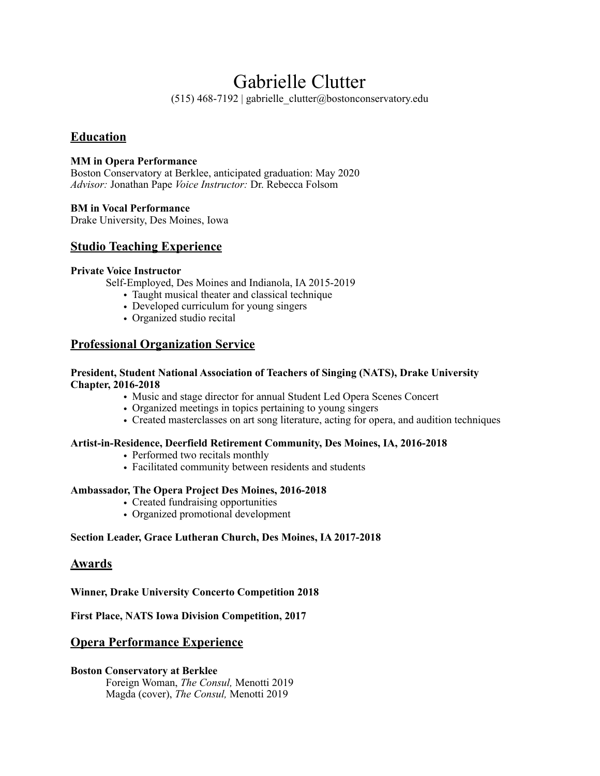# Gabrielle Clutter

(515) 468-7192 | gabrielle\_clutter@bostonconservatory.edu

## **Education**

#### **MM in Opera Performance**

Boston Conservatory at Berklee, anticipated graduation: May 2020 *Advisor:* Jonathan Pape *Voice Instructor:* Dr. Rebecca Folsom

#### **BM in Vocal Performance**

Drake University, Des Moines, Iowa

## **Studio Teaching Experience**

#### **Private Voice Instructor**

Self-Employed, Des Moines and Indianola, IA 2015-2019

- Taught musical theater and classical technique
- Developed curriculum for young singers
- Organized studio recital

## **Professional Organization Service**

#### **President, Student National Association of Teachers of Singing (NATS), Drake University Chapter, 2016-2018**

- Music and stage director for annual Student Led Opera Scenes Concert
- Organized meetings in topics pertaining to young singers
- Created masterclasses on art song literature, acting for opera, and audition techniques

#### **Artist-in-Residence, Deerfield Retirement Community, Des Moines, IA, 2016-2018**

- Performed two recitals monthly
- Facilitated community between residents and students

#### **Ambassador, The Opera Project Des Moines, 2016-2018**

- Created fundraising opportunities
- Organized promotional development

#### **Section Leader, Grace Lutheran Church, Des Moines, IA 2017-2018**

#### **Awards**

**Winner, Drake University Concerto Competition 2018** 

#### **First Place, NATS Iowa Division Competition, 2017**

## **Opera Performance Experience**

#### **Boston Conservatory at Berklee**

Foreign Woman, *The Consul,* Menotti 2019 Magda (cover), *The Consul,* Menotti 2019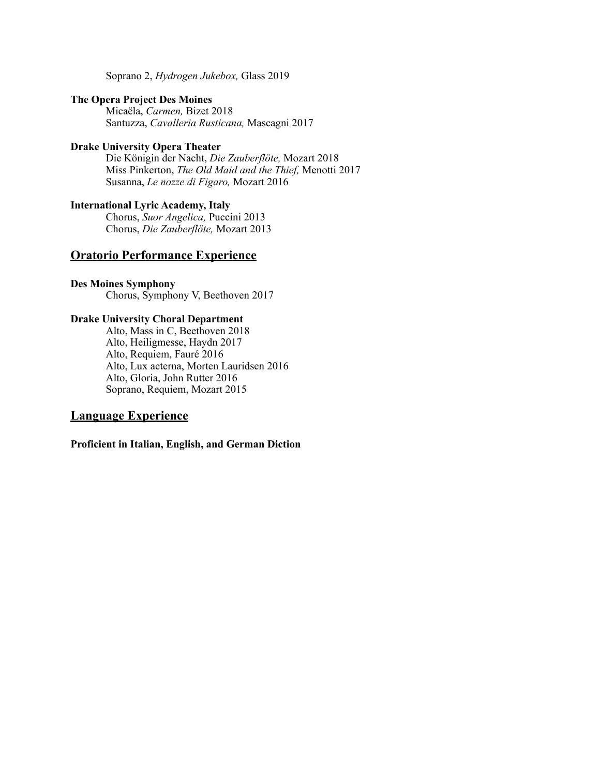Soprano 2, *Hydrogen Jukebox,* Glass 2019

#### **The Opera Project Des Moines**

Micaëla, *Carmen,* Bizet 2018 Santuzza, *Cavalleria Rusticana,* Mascagni 2017

#### **Drake University Opera Theater**

Die Königin der Nacht, *Die Zauberflöte,* Mozart 2018 Miss Pinkerton, *The Old Maid and the Thief,* Menotti 2017 Susanna, *Le nozze di Figaro,* Mozart 2016

#### **International Lyric Academy, Italy**

Chorus, *Suor Angelica,* Puccini 2013 Chorus, *Die Zauberflöte,* Mozart 2013

# **Oratorio Performance Experience**

#### **Des Moines Symphony**

Chorus, Symphony V, Beethoven 2017

#### **Drake University Choral Department**

Alto, Mass in C, Beethoven 2018 Alto, Heiligmesse, Haydn 2017 Alto, Requiem, Fauré 2016 Alto, Lux aeterna, Morten Lauridsen 2016 Alto, Gloria, John Rutter 2016 Soprano, Requiem, Mozart 2015

#### **Language Experience**

**Proficient in Italian, English, and German Diction**